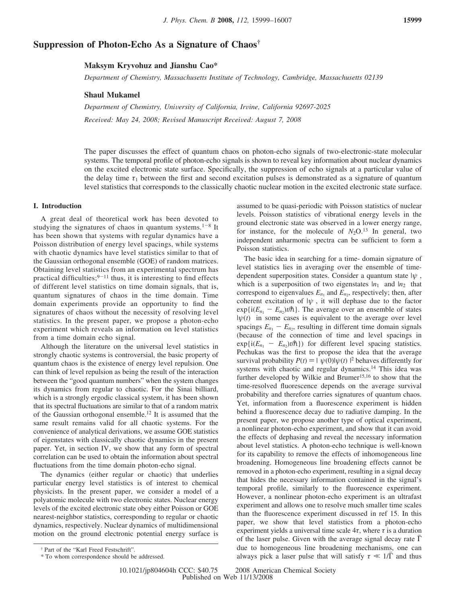# **Suppression of Photon-Echo As a Signature of Chaos†**

### **Maksym Kryvohuz and Jianshu Cao\***

*Department of Chemistry, Massachusetts Institute of Technology, Cambridge, Massachusetts 02139*

### **Shaul Mukamel**

*Department of Chemistry, Uni*V*ersity of California, Ir*V*ine, California 92697-2025 Received: May 24, 2008; Revised Manuscript Received: August 7, 2008* 

The paper discusses the effect of quantum chaos on photon-echo signals of two-electronic-state molecular systems. The temporal profile of photon-echo signals is shown to reveal key information about nuclear dynamics on the excited electronic state surface. Specifically, the suppression of echo signals at a particular value of the delay time  $\tau_1$  between the first and second excitation pulses is demonstrated as a signature of quantum level statistics that corresponds to the classically chaotic nuclear motion in the excited electronic state surface.

### **I. Introduction**

A great deal of theoretical work has been devoted to studying the signatures of chaos in quantum systems.<sup>1-8</sup> It has been shown that systems with regular dynamics have a Poisson distribution of energy level spacings, while systems with chaotic dynamics have level statistics similar to that of the Gaussian orthogonal ensemble (GOE) of random matrices. Obtaining level statistics from an experimental spectrum has practical difficulties; $9-11$  thus, it is interesting to find effects of different level statistics on time domain signals, that is, quantum signatures of chaos in the time domain. Time domain experiments provide an opportunity to find the signatures of chaos without the necessity of resolving level statistics. In the present paper, we propose a photon-echo experiment which reveals an information on level statistics from a time domain echo signal.

Although the literature on the universal level statistics in strongly chaotic systems is controversial, the basic property of quantum chaos is the existence of energy level repulsion. One can think of level repulsion as being the result of the interaction between the "good quantum numbers" when the system changes its dynamics from regular to chaotic. For the Sinai billiard, which is a strongly ergodic classical system, it has been shown that its spectral fluctuations are similar to that of a random matrix of the Gaussian orthogonal ensemble.12 It is assumed that the same result remains valid for all chaotic systems. For the convenience of analytical derivations, we assume GOE statistics of eigenstates with classically chaotic dynamics in the present paper. Yet, in section IV, we show that any form of spectral correlation can be used to obtain the information about spectral fluctuations from the time domain photon-echo signal.

The dynamics (either regular or chaotic) that underlies particular energy level statistics is of interest to chemical physicists. In the present paper, we consider a model of a polyatomic molecule with two electronic states. Nuclear energy levels of the excited electronic state obey either Poisson or GOE nearest-neighbor statistics, corresponding to regular or chaotic dynamics, respectively. Nuclear dynamics of multidimensional motion on the ground electronic potential energy surface is assumed to be quasi-periodic with Poisson statistics of nuclear levels. Poisson statistics of vibrational energy levels in the ground electronic state was observed in a lower energy range, for instance, for the molecule of  $N_2O$ .<sup>13</sup> In general, two independent anharmonic spectra can be sufficient to form a Poisson statistics.

The basic idea in searching for a time- domain signature of level statistics lies in averaging over the ensemble of timedependent superposition states. Consider a quantum state |*ψ*〉, which is a superposition of two eigenstates  $|n_1\rangle$  and  $|n_2\rangle$  that correspond to eigenvalues  $E_{n_1}$  and  $E_{n_2}$ , respectively; then, after coherent excitation of  $|\psi\rangle$ , it will dephase due to the factor  $\exp{i(E_{n_1} - E_{n_2})t/\hbar}$ . The average over an ensemble of states  $|\psi(t)\rangle$  in some cases is equivalent to the average over level spacings  $E_{n_1} - E_{n_2}$ , resulting in different time domain signals (because of the connection of time and level spacings in  $\exp{i(E_{n_1} - E_{n_2})t/\hbar})$  for different level spacing statistics. Pechukas was the first to propose the idea that the average survival probability  $P(t) = |\langle \psi(0) | \psi(t) \rangle|^2$  behaves differently for systems with chaotic and regular dynamics <sup>14</sup> This idea was systems with chaotic and regular dynamics.14 This idea was further developed by Wilkie and Brumer<sup>15,16</sup> to show that the time-resolved fluorescence depends on the average survival probability and therefore carries signatures of quantum chaos. Yet, information from a fluorescence experiment is hidden behind a fluorescence decay due to radiative damping. In the present paper, we propose another type of optical experiment, a nonlinear photon-echo experiment, and show that it can avoid the effects of dephasing and reveal the necessary information about level statistics. A photon-echo technique is well-known for its capability to remove the effects of inhomogeneous line broadening. Homogeneous line broadening effects cannot be removed in a photon-echo experiment, resulting in a signal decay that hides the necessary information contained in the signal's temporal profile, similarly to the fluorescence experiment. However, a nonlinear photon-echo experiment is an ultrafast experiment and allows one to resolve much smaller time scales than the fluorescence experiment discussed in ref 15. In this paper, we show that level statistics from a photon-echo experiment yields a universal time scale  $4\tau$ , where  $\tau$  is a duration of the laser pulse. Given with the average signal decay rate  $\Gamma$ due to homogeneous line broadening mechanisms, one can always pick a laser pulse that will satisfy  $\tau \ll 1/\overline{\Gamma}$  and thus

<sup>†</sup> Part of the "Karl Freed Festschrift".

<sup>\*</sup> To whom correspondence should be addressed.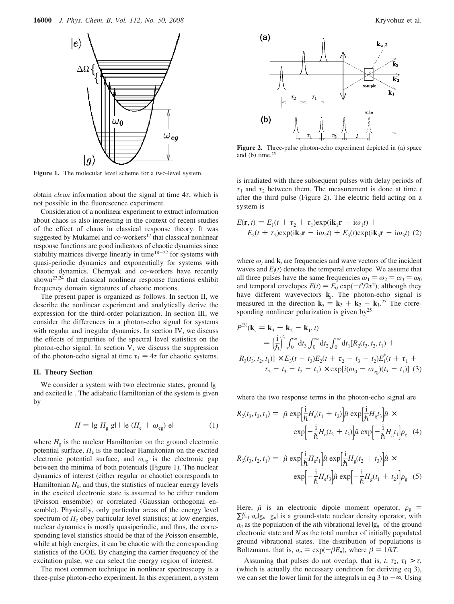

Figure 1. The molecular level scheme for a two-level system.

obtain *clean* information about the signal at time 4*τ*, which is not possible in the fluorescence experiment.

Consideration of a nonlinear experiment to extract information about chaos is also interesting in the context of recent studies of the effect of chaos in classical response theory. It was suggested by Mukamel and co-workers<sup>17</sup> that classical nonlinear response functions are good indicators of chaotic dynamics since stability matrices diverge linearly in time $18-22$  for systems with quasi-periodic dynamics and exponentially for systems with chaotic dynamics. Chernyak and co-workers have recently shown<sup>23,24</sup> that classical nonlinear response functions exhibit frequency domain signatures of chaotic motions.

The present paper is organized as follows. In section II, we describe the nonlinear experiment and analytically derive the expression for the third-order polarization. In section III, we consider the differences in a photon-echo signal for systems with regular and irregular dynamics. In section IV, we discuss the effects of impurities of the spectral level statistics on the photon-echo signal. In section V, we discuss the suppression of the photon-echo signal at time  $\tau_1 = 4\tau$  for chaotic systems.

#### **II. Theory Section**

We consider a system with two electronic states, ground  $|g\rangle$ and excited  $|e\rangle$ . The adiabatic Hamiltonian of the system is given by

$$
H = \mathrm{lg}\rangle H_{\mathrm{g}}\langle \mathrm{g}\vert + \mathrm{le}\rangle (H_{\mathrm{e}} + \omega_{\mathrm{eg}})\langle \mathrm{el} \tag{1}
$$

where  $H_{g}$  is the nuclear Hamiltonian on the ground electronic potential surface, *H*<sup>e</sup> is the nuclear Hamiltonian on the excited electronic potential surface, and *ω*eg is the electronic gap between the minima of both potentials (Figure 1). The nuclear dynamics of interest (either regular or chaotic) corresponds to Hamiltonian  $H_e$ , and thus, the statistics of nuclear energy levels in the excited electronic state is assumed to be either random (Poisson ensemble) or correlated (Gaussian orthogonal ensemble). Physically, only particular areas of the energy level spectrum of  $H_e$  obey particular level statistics; at low energies, nuclear dynamics is mostly quasiperiodic, and thus, the corresponding level statistics should be that of the Poisson ensemble, while at high energies, it can be chaotic with the corresponding statistics of the GOE. By changing the carrier frequency of the excitation pulse, we can select the energy region of interest.

The most common technique in nonlinear spectroscopy is a three-pulse photon-echo experiment. In this experiment, a system



**Figure 2.** Three-pulse photon-echo experiment depicted in (a) space and (b) time. $25$ 

is irradiated with three subsequent pulses with delay periods of  $\tau_1$  and  $\tau_2$  between them. The measurement is done at time *t* after the third pulse (Figure 2). The electric field acting on a system is

$$
E(\mathbf{r}, t) = E_1(t + \tau_2 + \tau_1) \exp(i\mathbf{k}_1 \mathbf{r} - i\omega_1 t) +
$$
  
\n
$$
E_2(t + \tau_2) \exp(i\mathbf{k}_2 \mathbf{r} - i\omega_2 t) + E_3(t) \exp(i\mathbf{k}_3 \mathbf{r} - i\omega_3 t) (2)
$$

where  $\omega_i$  and  $\mathbf{k}_i$  are frequencies and wave vectors of the incident waves and  $E_j(t)$  denotes the temporal envelope. We assume that all three pulses have the same frequencies  $\omega_1 = \omega_2 = \omega_3 = \omega_0$ and temporal envelopes  $E(t) = E_0 \exp(-t^2/2\tau^2)$ , although they<br>have different wavevectors **k**. The photon-echo signal is have different wavevectors **k***j*. The photon-echo signal is measured in the direction  $\mathbf{k}_s = \mathbf{k}_3 + \mathbf{k}_2 - \mathbf{k}_1$ .<sup>25</sup> The corresponding nonlinear polarization is given by<sup>25</sup>

$$
P^{(3)}(\mathbf{k}_{s} = \mathbf{k}_{3} + \mathbf{k}_{2} - \mathbf{k}_{1}, t)
$$
  
=  $\left(\frac{\mathbf{i}}{h}\right)^{3} \int_{0}^{\infty} dt_{3} \int_{0}^{\infty} dt_{2} \int_{0}^{\infty} dt_{1} [R_{2}(t_{3}, t_{2}, t_{1}) +$   
 $R_{3}(t_{3}, t_{2}, t_{1})] \times E_{3}(t - t_{3}) E_{2}(t + \tau_{2} - t_{3} - t_{2}) E_{1}^{*}(t + \tau_{1} +$   
 $\tau_{2} - t_{3} - t_{2} - t_{1}) \times \exp[i(\omega_{0} - \omega_{eg})(t_{3} - t_{1})]$  (3)

where the two response terms in the photon-echo signal are

$$
R_2(t_3, t_2, t_1) = \left\langle \hat{\mu} \exp\left[\frac{i}{\hbar}H_e(t_1 + t_2)\right] \hat{\mu} \exp\left[\frac{i}{\hbar}H_g t_3\right] \hat{\mu} \times \exp\left[-\frac{i}{\hbar}H_e(t_2 + t_3)\right] \hat{\mu} \exp\left[-\frac{i}{\hbar}H_g t_1\right] \rho_g \right\rangle (4)
$$

$$
R_3(t_3, t_2, t_1) = \left\langle \hat{\mu} \exp\left[\frac{i}{\hbar} H_c t_1\right] \hat{\mu} \exp\left[\frac{i}{\hbar} H_g(t_2 + t_3)\right] \hat{\mu} \times \exp\left[-\frac{i}{\hbar} H_c t_3\right] \hat{\mu} \exp\left[-\frac{i}{\hbar} H_g(t_1 + t_2)\right] \rho_g \right\rangle (5)
$$

Here,  $\hat{\mu}$  is an electronic dipole moment operator,  $\rho_{g}$  =  $\sum_{i=1}^{N} a_{i} |g_{n}\rangle\langle g_{n}|$  is a ground-state nuclear density operator, with  $a_n$  as the population of the *n*th vibrational level  $|g_n\rangle$  of the ground electronic state and *N* as the total number of initially populated ground vibrational states. The distribution of populations is Boltzmann, that is,  $a_n = \exp(-\beta E_n)$ , where  $\beta = 1/kT$ .

Assuming that pulses do not overlap, that is,  $t$ ,  $\tau_2$ ,  $\tau_1 > \tau$ , (which is actually the necessary condition for deriving eq 3), we can set the lower limit for the integrals in eq 3 to  $-\infty$ . Using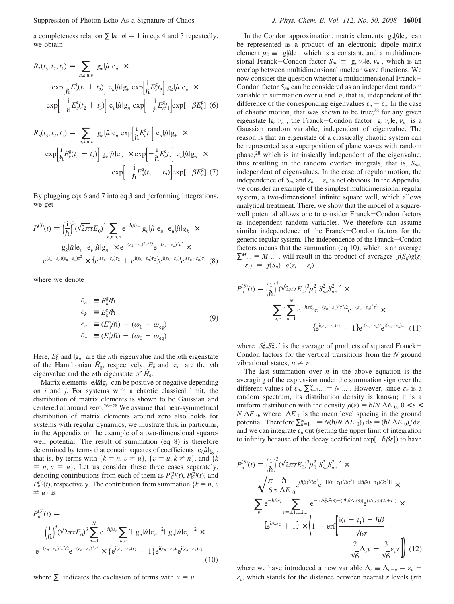Suppression of Photon-Echo As a Signature of Chaos *J. Phys. Chem. B, Vol. 112, No. 50, 2008* **16001**

a completeness relation  $\sum |n\rangle\langle n| = 1$  in eqs 4 and 5 repeatedly, we obtain

$$
R_2(t_3, t_2, t_1) = \sum_{n,k,u,v} \langle g_n | \hat{\mu} | e_u \rangle \times
$$
  
\n
$$
\exp \left[ \frac{i}{\hbar} E_u^e(t_1 + t_2) \right] \langle e_u | \hat{\mu} | g_k \rangle \exp \left[ \frac{i}{\hbar} E_k^g t_3 \right] \langle g_k | \hat{\mu} | e_v \rangle \times
$$
  
\n
$$
\exp \left[ -\frac{i}{\hbar} E_v^e(t_2 + t_3) \right] \langle e_v | \hat{\mu} | g_n \rangle \exp \left[ -\frac{i}{\hbar} E_n^g t_1 \right] \exp \left[ -\beta E_n^g \right] (6)
$$

$$
R_{3}(t_{3}, t_{2}, t_{1}) = \sum_{n,k,u,v} \langle g_{n}|\hat{\mu}|\mathbf{e}_{u}\rangle \exp\left[\frac{i}{\hbar}E_{u}^{\mathbf{e}}t_{1}\right] \langle \mathbf{e}_{u}|\hat{\mu}|\mathbf{g}_{k}\rangle \times
$$
  
\n
$$
\exp\left[\frac{i}{\hbar}E_{k}^{\mathbf{g}}(t_{2} + t_{3})\right] \langle g_{k}|\hat{\mu}|\mathbf{e}_{v}\rangle \times \exp\left[-\frac{i}{\hbar}E_{v}^{\mathbf{e}}t_{3}\right] \langle \mathbf{e}_{v}|\hat{\mu}|\mathbf{g}_{n}\rangle \times
$$
  
\n
$$
\exp\left[-\frac{i}{\hbar}E_{n}^{\mathbf{g}}(t_{1} + t_{2})\right] \exp\left[-\beta E_{n}^{\mathbf{g}}\right] (7)
$$

By plugging eqs 6 and 7 into eq 3 and performing integrations, we get

$$
P^{(3)}(t) = \left(\frac{i}{\hbar}\right)^3 \left(\sqrt{2\pi}\tau E_0\right)^3 \sum_{n,k,u,v} e^{-\hbar\beta \varepsilon_n} \langle g_n|\hat{\mu}|e_u\rangle \langle e_u|\hat{\mu}|g_k\rangle \times
$$

$$
\langle g_k|\hat{\mu}|e_v\rangle \langle e_v|\hat{\mu}|g_n\rangle \times e^{-(\varepsilon_k - \varepsilon_v)^2 \tau^2/2} e^{-(\varepsilon_n - \varepsilon_u)^2 \tau^2} \times
$$

$$
e^{(\varepsilon_k - \varepsilon_n)(\varepsilon_u - \varepsilon_v)\tau^2} \times \{e^{i(\varepsilon_u - \varepsilon_v)\tau_2} + e^{i(\varepsilon_k - \varepsilon_n)\tau_2}\} e^{i(\varepsilon_k - \varepsilon_v)t} e^{i(\varepsilon_u - \varepsilon_n)\tau_1} (8)
$$

where we denote

$$
\varepsilon_n \equiv E_n^{\rm g}/\hbar
$$
\n
$$
\varepsilon_k \equiv E_k^{\rm g}/\hbar
$$
\n
$$
\varepsilon_u \equiv (E_u^{\rm e}/\hbar) - (\omega_0 - \omega_{\rm eg})
$$
\n
$$
\varepsilon_v \equiv (E_v^{\rm e}/\hbar) - (\omega_0 - \omega_{\rm eg})
$$
\n(9)

Here,  $E_n^g$  and  $|g_n\rangle$  are the *n*th eigenvalue and the *n*th eigenstate of the Hamiltonian  $\hat{H}_{g}$ , respectively;  $E_{\nu}^s$  and  $|e_{\nu}\rangle$  are the *v*th eigenvalue and the *v*<sup>th</sup> eigenstate of  $\hat{H}$ eigenvalue and the *v*th eigenstate of  $\hat{H}_{e}$ .

Matrix elements  $\langle e_i | \hat{\mu} | g_j \rangle$  can be positive or negative depending on *i* and *j*. For systems with a chaotic classical limit, the distribution of matrix elements is shown to be Gaussian and centered at around zero. $26-28$  We assume that near-symmetrical distribution of matrix elements around zero also holds for systems with regular dynamics; we illustrate this, in particular, in the Appendix on the example of a two-dimensional squarewell potential. The result of summation (eq 8) is therefore determined by terms that contain squares of coefficients  $\langle e_i | \hat{\mu} | g_j \rangle$ , that is, by terms with  $\{k = n, v \neq u\}$ ,  $\{v = u, k \neq n\}$ , and  $\{k\}$  $n, v = u$ . Let us consider these three cases separately, denoting contributions from each of them as  $P_a^{(3)}(t)$ ,  $P_b^{(3)}(t)$ , and  $P_c^{(3)}(t)$ , respectively. The contribution from summation { $k = n$ , v  $\neq u$  is

$$
P_{\mathbf{a}}^{(3)}(t) =
$$
\n
$$
\left(\frac{\mathrm{i}}{\hbar}\right)^{3} (\sqrt{2\pi} \tau E_{0})^{3} \sum_{n=1}^{N} e^{-\hbar \beta \varepsilon_{n}} \sum_{u,v} \frac{\langle |\mathbf{g}_{n}|\hat{\mu}|\mathbf{e}_{v}\rangle|^{2} |\langle \mathbf{g}_{n}|\hat{\mu}|\mathbf{e}_{v}\rangle|^{2} \times}{\mathrm{e}^{-(\varepsilon_{n}-\varepsilon_{v})^{2} \tau^{2}/2} \mathrm{e}^{-(\varepsilon_{n}-\varepsilon_{u})^{2} \tau^{2}} \times {\mathrm{e}^{i(\varepsilon_{u}-\varepsilon_{v}) \tau_{2}} + 1 \mathrm{e}^{i(\varepsilon_{n}-\varepsilon_{v}) \tau} \mathrm{e}^{i(\varepsilon_{u}-\varepsilon_{n}) \tau_{1}}} \tag{10}
$$

where  $\Sigma'$  indicates the exclusion of terms with  $u = v$ .

In the Condon approximation, matrix elements  $\langle g_n | \hat{\mu} | e_n \rangle$  can be represented as a product of an electronic dipole matrix element  $\mu_0 \equiv \langle g | \hat{\mu} | \hat{e} \rangle$ , which is a constant, and a multidimensional Franck-Condon factor  $S_{nu} \equiv \langle g, v_n | e, v_u \rangle$ , which is an overlap between multidimensional nuclear wave functions. We now consider the question whether a multidimensional Franck-Condon factor  $S_{nu}$  can be considered as an independent random variable in summation over  $n$  and  $v$ , that is, independent of the difference of the corresponding eigenvalues  $\varepsilon_n - \varepsilon_\mu$ . In the case of chaotic motion, that was shown to be true;<sup>28</sup> for any given eigenstate  $|g, v_n\rangle$ , the Franck-Condon factor  $\langle g, v_n | e, v_n \rangle$  is a Gaussian random variable, independent of eigenvalue. The reason is that an eigenstate of a classically chaotic system can be represented as a superposition of plane waves with random phase,28 which is intrinsically independent of the eigenvalue, thus resulting in the random overlap integrals, that is,  $S_{nu}$ , independent of eigenvalues. In the case of regular motion, the independence of  $S_{nv}$  and  $\varepsilon_n - \varepsilon_v$  is not obvious. In the Appendix, we consider an example of the simplest multidimensional regular system, a two-dimensional infinite square well, which allows analytical treatment. There, we show that the model of a squarewell potential allows one to consider Franck-Condon factors as independent random variables. We therefore can assume similar independence of the Franck-Condon factors for the generic regular system. The independence of the Franck-Condon factors means that the summation (eq 10), which is an average  $\sum M_{\ldots} = M_{\ldots}$ , will result in the product of averages  $\langle f(S_{ii})g(\varepsilon_i)\rangle$  $-\varepsilon_i$ ) $\rangle = \langle f(S_{ij}) \rangle \langle g(\varepsilon_i - \varepsilon_j) \rangle$ 

$$
P_{\rm a}^{(3)}(t) = \left(\frac{\rm i}{\hbar}\right)^3 \left(\sqrt{2\pi} \tau E_0\right)^3 \mu_0^2 \left\langle S_{n\mu}^2 S_{n\nu}^2 \right\rangle \times
$$
\n
$$
\sum_{u,v} \sum_{n=1}^N e^{-\hbar \epsilon \beta_n} e^{-(\epsilon_n - \epsilon_v)^2 \tau^2/2} e^{-(\epsilon_n - \epsilon_u)^2 \tau^2} \times
$$
\n
$$
\left\{e^{i(\epsilon_u - \epsilon_v)\tau_2} + 1\right\} e^{i(\epsilon_n - \epsilon_v)t} e^{i(\epsilon_u - \epsilon_n)\tau_1} (11)
$$

where  $\langle S_{n\nu}^2 S_{n\nu}^2 \rangle'$  is the average of products of squared Franck-<br>Condon factors for the vertical transitions from the N ground Condon factors for the vertical transitions from the *N* ground vibrational states,  $u \neq v$ .

The last summation over  $n$  in the above equation is the averaging of the expression under the summation sign over the different values of  $\varepsilon_n$ ,  $\sum_{n=1}^{N}$   $\ldots$  =  $N\langle \ldots \rangle$ . However, since  $\varepsilon_n$  is a random spectrum, its distribution density is known; it is a uniform distribution with the density  $\rho(\varepsilon) = \hbar/N\langle\Delta E\rangle_0$ ,  $0 < \varepsilon <$  $N(\Delta E)_0$ , where  $\langle \Delta E \rangle_0$  is the mean level spacing in the ground potential. Therefore  $\sum_{n=1}^{N}$   $\ldots$  =  $N(\hbar/N\langle \Delta E \rangle_0)/d\varepsilon$  =  $(\hbar/\langle \Delta E \rangle_0)/d\varepsilon$ , and we can integrate  $\varepsilon_n$  out (setting the upper limit of integration to infinity because of the decay coefficient  $exp[-\hbar\beta\varepsilon]$ ) to have

$$
P_{\rm a}^{(3)}(t) = \left(\frac{\rm i}{\hbar}\right)^3 (\sqrt{2\pi} \tau E_0)^3 \mu_0^2 \langle S_{n\nu}^2 S_{n\nu}^2 \rangle' \times
$$
  

$$
\sqrt{\frac{\pi}{6}} \frac{\hbar}{\tau \langle \Delta E \rangle_0} e^{(\hbar \beta)^2 / 6\tau^2} e^{-\left[ [ (t-\tau_1)^2 / 6\tau^2 ] - \mathrm{i} [\hbar \beta (t-\tau_1)/3\tau^2 ] \right]} \times
$$
  

$$
\sum_{\nu} e^{-\hbar \beta \varepsilon_{\nu}} \sum_{r=\pm 1, \pm 2, \dots} e^{-\left[ (\Delta_r^2 \tau^2 / 3 - (2\hbar \beta \Delta_r / 3) \right]} e^{(\mathrm{i} \Delta_r / 3)(2t+\tau_1)} \times
$$
  

$$
\left\{ e^{\mathrm{i} \Delta_r \tau_2} + 1 \right\} \times \left( 1 + \mathrm{erf} \left[ \frac{\mathrm{i} (t - t_1) - \hbar \beta}{\sqrt{6\tau}} + \frac{2}{\sqrt{6}} \varepsilon_{\nu} \tau \right] \right) (12)
$$

where we have introduced a new variable  $\Delta_r \equiv \Delta_{u-v} = \varepsilon_u$  $\varepsilon_v$ , which stands for the distance between nearest *r* levels (*r*th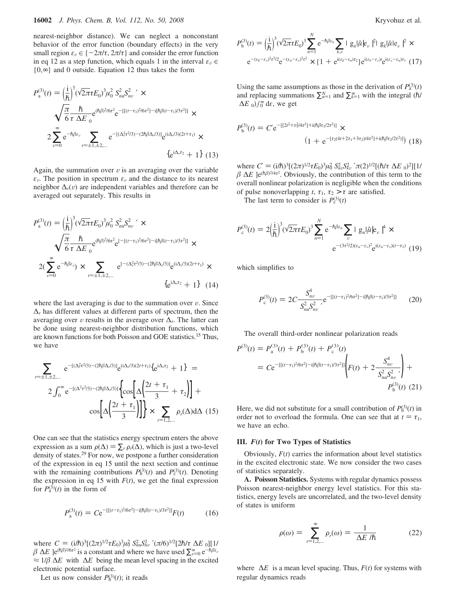nearest-neighbor distance). We can neglect a nonconstant behavior of the error function (boundary effects) in the very small region  $\varepsilon_v \in \{-2\pi/\tau, 2\pi/\tau\}$  and consider the error function in eq 12 as a step function, which equals 1 in the interval  $\varepsilon_v \in$ {0,∞} and 0 outside. Equation 12 thus takes the form

$$
P_{\rm a}^{(3)}(t) = \left(\frac{\rm i}{\hbar}\right)^3 \left(\sqrt{2\pi} \tau E_0\right)^3 \mu_0^2 \left\langle S_{n\nu}^2 S_{n\nu}^2 \right\rangle' \times
$$
  

$$
\sqrt{\frac{\pi}{6}} \frac{\hbar}{\tau \langle \Delta E \rangle_0} e^{(\hbar \beta)^2 / 6\tau^2} e^{-\left[ \left[ (t-\tau_1)^2 / 6\tau^2 \right] - \left[ \left[ \hbar \beta (t-\tau_1) / 3\tau^2 \right] \right] \right]} \times
$$
  

$$
2 \sum_{\nu=0}^{\infty} e^{-\hbar \beta \varepsilon_{\nu}} \sum_{r=\pm 1, \pm 2, \dots} e^{-\left[ (\Delta_r^2 \tau^2 / 3) - (2\hbar \beta \Delta_r / 3) \right]} e^{(i\Delta_r / 3)(2t+\tau_1)} \times
$$
  

$$
\left\{ e^{i\Delta_r \tau_2} + 1 \right\} (13)
$$

Again, the summation over  $v$  is an averaging over the variable  $\varepsilon_v$ . The position in spectrum  $\varepsilon_v$  and the distance to its nearest neighbor  $\Delta_r(v)$  are independent variables and therefore can be averaged out separately. This results in

$$
P_{\rm a}^{(3)}(t) = \left(\frac{\rm i}{\hbar}\right)^3 (\sqrt{2\pi} \tau E_0)^3 \mu_0^2 \langle S_{nu}^2 S_{nu}^2 \rangle' \times
$$
  

$$
\sqrt{\frac{\pi}{6}} \frac{\hbar}{\tau \langle \Delta E \rangle_0} e^{(\hbar \beta)^2 / 6\tau^2} e^{[-[(t-\tau_1)^2 / 6\tau^2] - i[\hbar \beta (t-\tau_1)/3\tau^2]]} \times
$$
  

$$
2(\sum_{\nu=0}^{\infty} e^{-\hbar \beta \varepsilon_{\nu}}) \times \sum_{r=\pm 1, \pm 2, \dots} \langle e^{[-(\Delta_r^2 \tau^2 / 3) - (2\hbar \beta \Delta_r / 3)]} e^{(i\Delta_r / 3)(2t+\tau_1)} \times \langle \{ e^{i\Delta_r \tau_2} + 1 \} \rangle (14)
$$

where the last averaging is due to the summation over  $\nu$ . Since  $\Delta_r$  has different values at different parts of spectrum, then the averaging over v results in the average over  $\Delta_r$ . The latter can be done using nearest-neighbor distribution functions, which are known functions for both Poisson and GOE statistics.15 Thus, we have

$$
\sum_{r=\pm 1,\pm 2,\dots} \langle e^{-[(\Delta_r^2 \tau^2/3)-(2\hbar \beta \Delta_r/3)]} e^{(i\Delta_r/3)(2t+\tau_1)} \{e^{i\Delta_r \tau_2} + 1\} \rangle =
$$
  
2  $\int_0^\infty e^{-[(\Delta^2 \tau^2/3)-(2\hbar \beta \Delta_r/3)]} \left\{ \cos \left[\Delta \left(\frac{2t+\tau_1}{3} + \tau_2\right)\right] + \cos \left[\Delta \left(\frac{2t+\tau_1}{3}\right)\right] \right\} \times \sum_{r=1,2,\dots} \rho_r(\Delta) d\Delta$  (15)

One can see that the statistics energy spectrum enters the above expression as a sum  $\rho(\Delta) = \sum_r \rho_r(\Delta)$ , which is just a two-level density of states.29 For now, we postpone a further consideration of the expression in eq 15 until the next section and continue with the remaining contributions  $P_6^{(3)}(t)$  and  $P_c^{(3)}(t)$ . Denoting the expression in eq 15 with  $F(t)$ , we get the final expression for  $P_{a}^{(3)}(t)$  in the form of

$$
P_{\rm a}^{(3)}(t) = C e^{-\left[\left[(t-\tau_1)^2/6\tau^2\right] - i[\hbar\beta(t-\tau_1)/3\tau^2]\right]} F(t) \tag{16}
$$

where  $C = (i/\hbar)^3[(2\pi)^{1/2}\tau E_0)^3\mu_0^2(\frac{S_n}{\hbar w}S_n^2)'(\pi/6)^{1/2}[2\hbar/\tau(\Delta E)_0][1/\beta(\Delta E)^3]$ <br> $\beta(\Delta E)$ ][1/<sup>2</sup>/<sup>6</sup>/<sup>6</sup>/<sup>2</sup>/<sup>2</sup> is a constant and where we have used  $\sum_{n=0}^{\infty}e^{-\hbar\beta \epsilon_n}$  $\beta \langle \Delta E \rangle e^{(\hbar \beta)^2/6\tau^2}$  is a constant and where we have used  $\sum_{v=0}^{\infty} e^{-\hbar \beta \varepsilon_v}$  $\approx$  1/β $\langle$ Δ*E* $\rangle$  with  $\langle$ Δ*E* $\rangle$  being the mean level spacing in the excited electronic potential surface.

Let us now consider  $P_0^{(3)}(t)$ ; it reads

$$
P_b^{(3)}(t) = \left(\frac{i}{\hbar}\right)^3 \left(\sqrt{2\pi} \tau E_0\right)^3 \sum_{n=1}^N e^{-\hbar \beta \varepsilon_n} \sum_{k,v} |\langle g_n | \hat{\mu} | e_v \rangle|^2 |\langle g_k | \hat{\mu} | e_v \rangle|^2 \times
$$

$$
e^{-(\varepsilon_k - \varepsilon_v)^2 \tau^2 / 2} e^{-(\varepsilon_n - \varepsilon_v)^2 \tau^2} \times \left\{1 + e^{i(\varepsilon_k - \varepsilon_n)\tau_2}\right\} e^{i(\varepsilon_k - \varepsilon_v)t} e^{i(\varepsilon_v - \varepsilon_n)\tau_1} (17)
$$

Using the same assumptions as those in the derivation of  $P_a^{(3)}(t)$ and replacing summations  $\sum_{n=1}^{N}$  and  $\sum_{k=1}^{\infty}$  with the integral (*h*/  $\langle \Delta E \rangle_0$ ) $\int_0^\infty d\varepsilon$ , we get

$$
P_b^{(3)}(t) = C' e^{-[(2t^2 + \tau_1^2/4\tau^2] + i(\hbar\beta\tau_1/2\tau^2)]} \times (1 + e^{-[\tau_2(4t + 2\tau_1 + 3\tau_2)/4\tau^2] + i(\hbar\beta\tau_2/2\tau^2)]})
$$
(18)

where  $C' = (i/\hbar)^3 [(2\pi)^{1/2} \tau E_0)^3 \mu_0^2 \langle S_n^2, S_n^2 \rangle^{\prime} \pi (2)^{1/2} [( \hbar / \tau \langle \Delta E \rangle_0)^2] [1/\beta \langle \Delta E \rangle_0]^2$ <br> $\beta \langle \Delta E \rangle_0^{(\hbar \beta)^2/4\tau^2}$  Obviously the contribution of this term to the  $\beta(\Delta E)$ ]e<sup>(h $\beta$ )<sup>2/4*τ*2</sup>. Obviously, the contribution of this term to the</sup> overall nonlinear polarization is negligible when the conditions of pulse nonoverlapping *t*,  $\tau_1$ ,  $\tau_2 > \tau$  are satisfied.

The last term to consider is  $P_c^{(3)}(t)$ 

$$
P_{\rm c}^{(3)}(t) = 2\left(\frac{\rm i}{\hbar}\right)^3 \left(\sqrt{2\pi}\tau E_0\right)^3 \sum_{n=1}^N e^{-\hbar\beta\varepsilon_n} \sum_{\nu} |\langle g_n|\hat{\mu}|e_{\nu}\rangle|^4 \times
$$

$$
e^{-(3\tau^2/2)(\varepsilon_n - \varepsilon_{\nu})^2} e^{\mathrm{i}(\varepsilon_n - \varepsilon_{\nu})(t - \tau_1)} (19)
$$

which simplifies to

*P*b

$$
P_{\rm c}^{(3)}(t) = 2C \frac{\langle S_{n\nu}^4 \rangle}{\langle S_{n\nu}^2 S_{n\nu}^2 \rangle} e^{-\left[ \left[ (t-\tau_1)^2 / 6\tau^2 \right] - i[\hbar \beta (t-\tau_1)/3\tau^2] \right]} \tag{20}
$$

The overall third-order nonlinear polarization reads

$$
P^{(3)}(t) = P^{(3)}_{a}(t) + P^{(3)}_{b}(t) + P^{(3)}_{c}(t)
$$
  
= 
$$
C e^{-\left[\left[(t-\tau_{1})^{2}/6\tau^{2}\right] - i\left[\hbar\beta(t-\tau_{1})/3\tau^{2}\right]\right]}\left(F(t) + 2\frac{\langle S_{nv}^{4}\rangle}{\langle S_{nv}^{2}\rangle_{nv}^{2}\rangle}\right) + P^{(3)}_{b}(t) (21)
$$

Here, we did not substitute for a small contribution of  $P_0^{(3)}(t)$  in order not to overload the formula. One can see that at  $t = \tau_1$ , we have an echo.

### **III.** *F***(***t***) for Two Types of Statistics**

Obviously,  $F(t)$  carries the information about level statistics in the excited electronic state. We now consider the two cases of statistics separately.

**A. Poisson Statistics.** Systems with regular dynamics possess Poisson nearest-neighbor energy level statistics. For this statistics, energy levels are uncorrelated, and the two-level density of states is uniform

$$
\rho(\omega) = \sum_{r=1,2,...}^{\infty} \rho_r(\omega) = \frac{1}{\langle \Delta E \rangle / \hbar}
$$
 (22)

where 〈∆*E*〉 is a mean level spacing. Thus, *F*(*t*) for systems with regular dynamics reads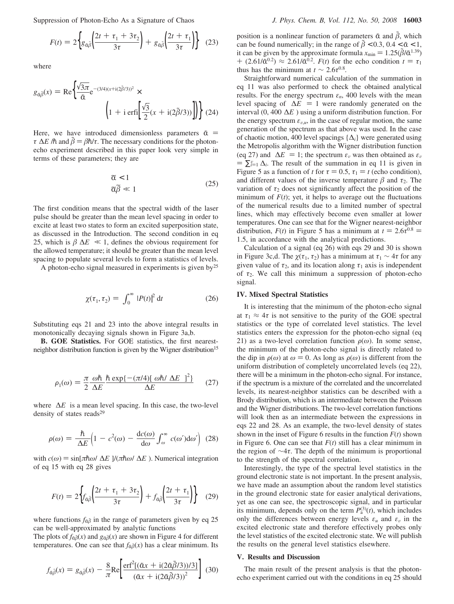Suppression of Photon-Echo As a Signature of Chaos *J. Phys. Chem. B, Vol. 112, No. 50, 2008* **16003**

$$
F(t) = 2\left\{g_{\alpha\tilde{\beta}}\left(\frac{2t + \tau_1 + 3\tau_2}{3\tau}\right) + g_{\alpha\tilde{\beta}}\left(\frac{2t + \tau_1}{3\tau}\right)\right\}
$$
(23)

where

$$
g_{\tilde{\alpha}\tilde{\beta}}(x) = \text{Re}\left\{\frac{\sqrt{3\pi}}{\tilde{\alpha}}e^{-(3/4)(x+i(2\tilde{\beta}/3))^2} \times \left(1 + i\operatorname{erfi}\left[\frac{\sqrt{3}}{2}(x + i(2\tilde{\beta}/3))\right]\right)\right\}
$$
(24)

Here, we have introduced dimensionless parameters  $\tilde{\alpha}$  =  $\tau\langle\Delta E\rangle/\hbar$  and  $\tilde{\beta} = \beta\hbar/\tau$ . The necessary conditions for the photonecho experiment described in this paper look very simple in terms of these parameters; they are

$$
\begin{aligned}\n\widetilde{\alpha} < 1 \\
\widetilde{\alpha}\widetilde{\beta} &\ll 1\n\end{aligned} \tag{25}
$$

The first condition means that the spectral width of the laser pulse should be greater than the mean level spacing in order to excite at least two states to form an excited superposition state, as discussed in the Introduction. The second condition in eq 25, which is  $\beta \langle \Delta E \rangle \ll 1$ , defines the obvious requirement for the allowed temperature; it should be greater than the mean level spacing to populate several levels to form a statistics of levels.

A photon-echo signal measured in experiments is given by<sup>25</sup>

$$
\chi(\tau_1, \tau_2) = \int_0^\infty |P(t)|^2 dt \qquad (26)
$$

Substituting eqs 21 and 23 into the above integral results in monotonically decaying signals shown in Figure 3a,b.

**B. GOE Statistics.** For GOE statistics, the first nearestneighbor distribution function is given by the Wigner distribution<sup>15</sup>

$$
\rho_1(\omega) = \frac{\pi}{2} \frac{\omega \hbar \hbar \exp\{-(\pi/4)[\langle \omega \hbar / \langle \Delta E \rangle \rangle]^2\}}{\langle \Delta E \rangle}
$$
 (27)

where  $\langle \Delta E \rangle$  is a mean level spacing. In this case, the two-level density of states reads<sup>29</sup>

$$
\rho(\omega) = \frac{\hbar}{\langle \Delta E \rangle} \Big( 1 - c^2(\omega) - \frac{\mathrm{d}c(\omega)}{\mathrm{d}\omega} \int_{\omega}^{\infty} c(\omega') \mathrm{d}\omega' \Big) (28)
$$

with  $c(\omega) = \sin[\pi \hbar \omega / \langle \Delta E \rangle]/(\pi \hbar \omega / \langle \Delta E \rangle)$ . Numerical integration of eq 15 with eq 28 gives

$$
F(t) = 2\left\{ f_{\alpha\tilde{\beta}} \left( \frac{2t + \tau_1 + 3\tau_2}{3\tau} \right) + f_{\alpha\tilde{\beta}} \left( \frac{2t + \tau_1}{3\tau} \right) \right\}
$$
(29)

where functions  $f_{\alpha\beta}$  in the range of parameters given by eq 25 can be well-approximated by analytic functions

The plots of  $f_{\alpha\beta}(x)$  and  $g_{\alpha\beta}(x)$  are shown in Figure 4 for different temperatures. One can see that  $f_{\tilde{\alpha}\tilde{\beta}}(x)$  has a clear minimum. Its

$$
f_{\tilde{\alpha}\tilde{\beta}}(x) = g_{\tilde{\alpha}\tilde{\beta}}(x) - \frac{8}{\pi} \text{Re} \left[ \frac{\text{erf}^2 [(\tilde{\alpha}x + \mathrm{i}(2\tilde{\alpha}\tilde{\beta}/3))/3]}{(\tilde{\alpha}x + \mathrm{i}(2\tilde{\alpha}\tilde{\beta}/3))^2} \right] (30)
$$

position is a nonlinear function of parameters  $\tilde{\alpha}$  and  $\beta$ , which can be found numerically; in the range of  $\tilde{\beta} < 0.3$ ,  $0.4 < \tilde{\alpha} < 1$ , it can be given by the approximate formula  $x_{\text{min}} = 1.25(\tilde{\beta}/\tilde{\alpha}^{1.39})$ + (2.61/ $\tilde{\alpha}^{0.2}$ )  $\approx 2.61/\tilde{\alpha}^{0.2}$ . *F*(*t*) for the echo condition  $t = \tau_1$ thus has the minimum at  $t \sim 2.6\tau^{0.8}$ .

Straightforward numerical calculation of the summation in eq 11 was also performed to check the obtained analytical results. For the energy spectrum  $\varepsilon_n$ , 400 levels with the mean level spacing of  $\langle \Delta E \rangle = 1$  were randomly generated on the interval (0, 400〈∆*E*〉) using a uniform distribution function. For the energy spectrum  $\varepsilon_{v,u}$ , in the case of regular motion, the same generation of the spectrum as that above was used. In the case of chaotic motion, 400 level spacings {∆*i*} were generated using the Metropolis algorithm with the Wigner distribution function (eq 27) and  $\langle \Delta E \rangle = 1$ ; the spectrum  $\varepsilon_v$  was then obtained as  $\varepsilon_v$  $= \sum_{i=1}^{v} \Delta_i$ . The result of the summation in eq 11 is given in Figure 5 as a function of *t* for  $\tau = 0.5$ ,  $\tau_1 = t$  (echo condition), and different values of the inverse temperature  $\beta$  and  $\tau_2$ . The variation of  $\tau_2$  does not significantly affect the position of the minimum of  $F(t)$ ; yet, it helps to average out the fluctuations of the numerical results due to a limited number of spectral lines, which may effectively become even smaller at lower temperatures. One can see that for the Wigner nearest-neighbor distribution,  $F(t)$  in Figure 5 has a minimum at  $t = 2.6\tau^{0.8}$  = 1.5, in accordance with the analytical predictions.

Calculation of a signal (eq 26) with eqs 29 and 30 is shown in Figure 3c,d. The  $\chi(\tau_1, \tau_2)$  has a minimum at  $\tau_1 \sim 4\tau$  for any given value of  $\tau_2$ , and its location along  $\tau_1$  axis is independent of *τ*2. We call this minimum a suppression of photon-echo signal.

## **IV. Mixed Spectral Statistics**

It is interesting that the minimum of the photon-echo signal at  $\tau_1 \approx 4\tau$  is not sensitive to the purity of the GOE spectral statistics or the type of correlated level statistics. The level statistics enters the expression for the photon-echo signal (eq 21) as a two-level correlation function  $\rho(\omega)$ . In some sense, the minimum of the photon-echo signal is directly related to the dip in  $\rho(\omega)$  at  $\omega = 0$ . As long as  $\rho(\omega)$  is different from the uniform distribution of completely uncorrelated levels (eq 22), there will be a minimum in the photon-echo signal. For instance, if the spectrum is a mixture of the correlated and the uncorrelated levels, its nearest-neighbor statistics can be described with a Brody distribution, which is an intermediate between the Poisson and the Wigner distributions. The two-level correlation functions will look then as an intermediate between the expressions in eqs 22 and 28. As an example, the two-level density of states shown in the inset of Figure 6 results in the function  $F(t)$  shown in Figure 6. One can see that  $F(t)$  still has a clear minimum in the region of ∼4*τ*. The depth of the minimum is proportional to the strength of the spectral correlation.

Interestingly, the type of the spectral level statistics in the ground electronic state is not important. In the present analysis, we have made an assumption about the random level statistics in the ground electronic state for easier analytical derivations, yet as one can see, the spectroscopic signal, and in particular its minimum, depends only on the term  $P_a^{(3)}(t)$ , which includes only the differences between energy levels  $\varepsilon_u$  and  $\varepsilon_v$  in the excited electronic state and therefore effectively probes only the level statistics of the excited electronic state. We will publish the results on the general level statistics elsewhere.

#### **V. Results and Discussion**

The main result of the present analysis is that the photonecho experiment carried out with the conditions in eq 25 should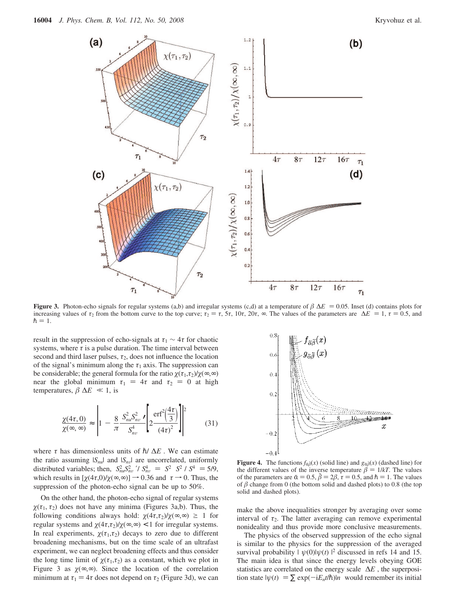

**Figure 3.** Photon-echo signals for regular systems (a,b) and irregular systems (c,d) at a temperature of  $\beta(\Delta E) = 0.05$ . Inset (d) contains plots for increasing values of  $\tau_2$  from the bottom curve to the top curve;  $\tau_2 = \tau$ ,  $5\tau$ ,  $10\tau$ ,  $20\tau$ ,  $\infty$ . The values of the parameters are  $\langle \Delta E \rangle = 1$ ,  $\tau = 0.5$ , and  $\hbar = 1.$ 

result in the suppression of echo-signals at  $\tau_1 \sim 4\tau$  for chaotic systems, where  $\tau$  is a pulse duration. The time interval between second and third laser pulses,  $\tau_2$ , does not influence the location of the signal's minimum along the  $\tau_1$  axis. The suppression can be considerable; the general formula for the ratio  $\chi(\tau_1, \tau_2)/\chi(\infty, \infty)$ near the global minimum  $\tau_1 = 4\tau$  and  $\tau_2 = 0$  at high temperatures,  $\beta \langle \Delta E \rangle \ll 1$ , is

$$
\frac{\chi(4\tau, 0)}{\chi(\infty, \infty)} \approx \left| 1 - \frac{8}{\pi} \frac{\langle S_{nu}^2 S_{nv}^2 \rangle}{\langle S_{nv}^4 \rangle} \left[ 2 \frac{\text{erf}^2 \left( \frac{4\tau}{3} \right)}{(4\tau)^2} \right] \right|^2 \tag{31}
$$

where  $\tau$  has dimensionless units of  $\hbar/\langle\Delta E\rangle$ . We can estimate the ratio assuming  $|S_{nu}|$  and  $|S_{nv}|$  are uncorrelated, uniformly distributed variables; then,  $\langle S_{nu}^2 S_{nv}^2 \rangle / \langle S_{nv}^4 \rangle = \langle S^2 \rangle \langle S^2 \rangle / \langle S^4 \rangle = 5/9$ , which results in  $\left[\frac{\gamma}{4} \cap \frac{\gamma}{2} \right] \to 0$  36 and  $\tau \to 0$ . Thus the which results in  $[\chi(4\tau,0)/\chi(\infty,\infty)] \rightarrow 0.36$  and  $\tau \rightarrow 0$ . Thus, the suppression of the photon-echo signal can be up to 50%.

On the other hand, the photon-echo signal of regular systems  $\chi(\tau_1, \tau_2)$  does not have any minima (Figures 3a,b). Thus, the following conditions always hold:  $\chi(4\tau,\tau_2)/\chi(\infty,\infty) \geq 1$  for regular systems and  $\chi(4\tau,\tau_2)/\chi(\infty,\infty) < 1$  for irregular systems. In real experiments,  $\chi(\tau_1, \tau_2)$  decays to zero due to different broadening mechanisms, but on the time scale of an ultrafast experiment, we can neglect broadening effects and thus consider the long time limit of  $\chi(\tau_1,\tau_2)$  as a constant, which we plot in Figure 3 as  $\chi(\infty, \infty)$ . Since the location of the correlation minimum at  $\tau_1 = 4\tau$  does not depend on  $\tau_2$  (Figure 3d), we can



**Figure 4.** The functions  $f_{\tilde{\alpha}\tilde{\beta}}(x)$  (solid line) and  $g_{\tilde{\alpha}\tilde{\beta}}(x)$  (dashed line) for the different values of the inverse temperature  $\beta = 1/kT$ . The values of the parameters are  $\tilde{\alpha} = 0.5$ ,  $\tilde{\beta} = 2\beta$ ,  $\tau = 0.5$ , and  $\hbar = 1$ . The values of  $\beta$  change from 0 (the bottom solid and dashed plots) to 0.8 (the top solid and dashed plots).

make the above inequalities stronger by averaging over some interval of  $\tau_2$ . The latter averaging can remove experimental nonideality and thus provide more conclusive measurements.

The physics of the observed suppression of the echo signal is similar to the physics for the suppression of the averaged survival probability  $|\langle \psi(0) | \psi(t) \rangle|^2$  discussed in refs 14 and 15. The main idea is that since the energy levels obeying GOE statistics are correlated on the energy scale 〈∆*E*〉, the superposition state  $|\psi(t)\rangle = \sum \exp(-iE_n t/\hbar)|n\rangle$  would remember its initial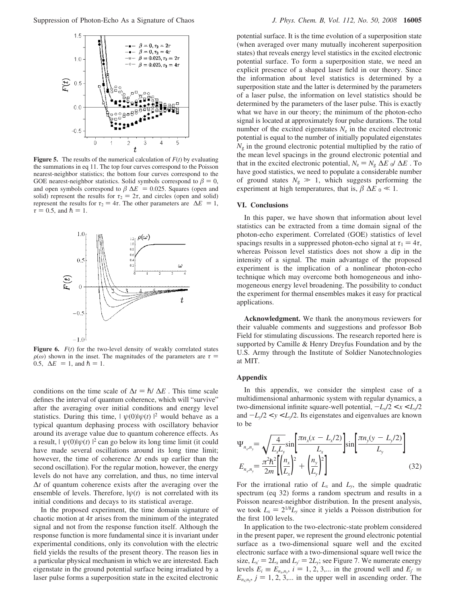

**Figure 5.** The results of the numerical calculation of  $F(t)$  by evaluating the summations in eq 11. The top four curves correspond to the Poisson nearest-neighbor statistics; the bottom four curves correspond to the GOE nearest-neighbor statistics. Solid symbols correspond to  $\beta = 0$ , and open symbols correspond to  $\beta \langle \Delta E \rangle = 0.025$ . Squares (open and solid) represent the results for  $\tau_2 = 2\tau$ , and circles (open and solid) represent the results for  $\tau_2 = 4\tau$ . The other parameters are  $\langle \Delta E \rangle = 1$ ,  $\tau = 0.5$ , and  $\hbar = 1$ .



**Figure 6.**  $F(t)$  for the two-level density of weakly correlated states  $\rho(\omega)$  shown in the inset. The magnitudes of the parameters are  $\tau =$ 0.5,  $\langle \Delta E \rangle = 1$ , and  $\hbar = 1$ .

conditions on the time scale of  $\Delta t = \hbar / \langle \Delta E \rangle$ . This time scale defines the interval of quantum coherence, which will "survive" after the averaging over initial conditions and energy level statistics. During this time,  $|\langle \psi(0)|\psi(t)\rangle|^2$  would behave as a typical quantum dephasing process with oscillatory behavior around its average value due to quantum coherence effects. As a result,  $|\langle \psi(0)|\psi(t)\rangle|^2$  can go below its long time limit (it could have made several oscillations around its long time limit; however, the time of coherence ∆*t* ends up earlier than the second oscillation). For the regular motion, however, the energy levels do not have any correlation, and thus, no time interval ∆*t* of quantum coherence exists after the averaging over the ensemble of levels. Therefore,  $|\psi(t)\rangle$  is not correlated with its initial conditions and decays to its statistical average.

In the proposed experiment, the time domain signature of chaotic motion at  $4\tau$  arises from the minimum of the integrated signal and not from the response function itself. Although the response function is more fundamental since it is invariant under experimental conditions, only its convolution with the electric field yields the results of the present theory. The reason lies in a particular physical mechanism in which we are interested. Each eigenstate in the ground potential surface being irradiated by a laser pulse forms a superposition state in the excited electronic

potential surface. It is the time evolution of a superposition state (when averaged over many mutually incoherent superposition states) that reveals energy level statistics in the excited electronic potential surface. To form a superposition state, we need an explicit presence of a shaped laser field in our theory. Since the information about level statistics is determined by a superposition state and the latter is determined by the parameters of a laser pulse, the information on level statistics should be determined by the parameters of the laser pulse. This is exactly what we have in our theory; the minimum of the photon-echo signal is located at approximately four pulse durations. The total number of the excited eigenstates  $N_e$  in the excited electronic potential is equal to the number of initially populated eigenstates  $N_{\rm g}$  in the ground electronic potential multiplied by the ratio of the mean level spacings in the ground electronic potential and that in the excited electronic potential,  $N_e = N_g \langle \Delta E \rangle_0 / \langle \Delta E \rangle$ . To have good statistics, we need to populate a considerable number of ground states  $N_g \gg 1$ , which suggests performing the experiment at high temperatures, that is,  $\beta \langle \Delta E \rangle_0 \ll 1$ .

### **VI. Conclusions**

In this paper, we have shown that information about level statistics can be extracted from a time domain signal of the photon-echo experiment. Correlated (GOE) statistics of level spacings results in a suppressed photon-echo signal at  $\tau_1 = 4\tau$ , whereas Poisson level statistics does not show a dip in the intensity of a signal. The main advantage of the proposed experiment is the implication of a nonlinear photon-echo technique which may overcome both homogeneous and inhomogeneous energy level broadening. The possibility to conduct the experiment for thermal ensembles makes it easy for practical applications.

**Acknowledgment.** We thank the anonymous reviewers for their valuable comments and suggestions and professor Bob Field for stimulating discussions. The research reported here is supported by Camille & Henry Dreyfus Foundation and by the U.S. Army through the Institute of Soldier Nanotechnologies at MIT.

#### **Appendix**

In this appendix, we consider the simplest case of a multidimensional anharmonic system with regular dynamics, a two-dimensional infinite square-well potential,  $-L_x/2 < x < L_x/2$ and  $-L_y/2 < y < L_y/2$ . Its eigenstates and eigenvalues are known to be

$$
\Psi_{n_x, n_y} = \sqrt{\frac{4}{L_x L_y}} \sin \left[ \frac{\pi n_x (x - L_x/2)}{L_x} \right] \sin \left[ \frac{\pi n_y (y - L_y/2)}{L_y} \right]
$$
\n
$$
E_{n_x, n_y} = \frac{\pi^2 \hbar^2}{2m} \left[ \left( \frac{n_x}{L_x} \right)^2 + \left( \frac{n_y}{L_y} \right)^2 \right] \tag{32}
$$

For the irrational ratio of  $L_x$  and  $L_y$ , the simple quadratic spectrum (eq 32) forms a random spectrum and results in a Poisson nearest-neighbor distribution. In the present analysis, we took  $L_x = 2^{1/8}L_y$  since it yields a Poisson distribution for the first 100 levels.

In application to the two-electronic-state problem considered in the present paper, we represent the ground electronic potential surface as a two-dimensional square well and the excited electronic surface with a two-dimensional square well twice the size,  $L_x = 2L_x$  and  $L_y = 2L_y$ ; see Figure 7. We numerate energy levels  $E_i \equiv E_{n_x,n_y}$ ,  $i = 1, 2, 3,...$  in the ground well and  $E_j \equiv$ <br> $E_i$   $i = 1, 2, 3,...$  in the upper well in ascending order. The  $E_{n_{\hat{x}},n_{\hat{y}}}$ ,  $j = 1, 2, 3,...$  in the upper well in ascending order. The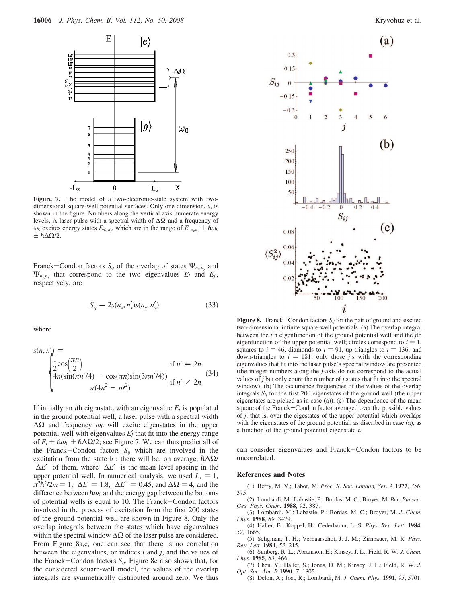

**Figure 7.** The model of a two-electronic-state system with twodimensional square-well potential surfaces. Only one dimension, *x*, is shown in the figure. Numbers along the vertical axis numerate energy levels. A laser pulse with a spectral width of ∆Ω and a frequency of *ω*<sub>0</sub> excites energy states *E<sub>n'<sub>λ</sub>*</sub>,*n'<sub>λ</sub>*</sub> which are in the range of *E*  $n_{x}$ ,*n<sub>i</sub>* + *hω*<sub>0</sub>  $\pm$   $\hbar\Delta\Omega/2$ .

Franck-Condon factors  $S_{ij}$  of the overlap of states  $\Psi_{n_x,n_y}$  and  $\Psi_{n_i n_j}$  that correspond to the two eigenvalues  $E_i$  and  $E_j$ , respectively, are

$$
S_{ij} = 2s(n_x, n_x')s(n_y, n_y')
$$
 (33)

where

$$
s(n, n') = \begin{cases} \frac{1}{2}\cos(\frac{\pi n}{2}) & \text{if } n' = 2n\\ \frac{4n(\sin(\pi n'/4) - \cos(\pi n)\sin(3\pi n'/4))}{\pi(4n^2 - n^2)} & \text{if } n' \neq 2n \end{cases}
$$
(34)

If initially an *i*th eigenstate with an eigenvalue  $E_i$  is populated in the ground potential well, a laser pulse with a spectral width ∆Ω and frequency *ω*<sup>0</sup> will excite eigenstates in the upper potential well with eigenvalues  $E_j'$  that fit into the energy range of  $E_i + \hbar \omega_0 \pm \hbar \Delta \Omega/2$ ; see Figure 7. We can thus predict all of the Franck-Condon factors  $S_{ij}$  which are involved in the excitation from the state  $|i\rangle$ ; there will be, on average,  $\hbar \Delta \Omega$ /  $\langle \Delta E' \rangle$  of them, where  $\langle \Delta E' \rangle$  is the mean level spacing in the upper potential well. In numerical analysis, we used  $L_x = 1$ ,  $\pi^2 \hbar^2 / 2m = 1$ ,  $\langle \Delta E \rangle = 1.8$ ,  $\langle \Delta E' \rangle = 0.45$ , and  $\Delta \Omega = 4$ , and the difference between  $\hbar \omega_0$  and the energy gap between the bottoms of potential wells is equal to 10. The Franck-Condon factors involved in the process of excitation from the first 200 states of the ground potential well are shown in Figure 8. Only the overlap integrals between the states which have eigenvalues within the spectral window  $\Delta\Omega$  of the laser pulse are considered. From Figure 8a,c, one can see that there is no correlation between the eigenvalues, or indices *i* and *j*, and the values of the Franck-Condon factors  $S_{ij}$ . Figure 8c also shows that, for the considered square-well model, the values of the overlap integrals are symmetrically distributed around zero. We thus



**Figure 8.** Franck-Condon factors  $S_{ij}$  for the pair of ground and excited two-dimensional infinite square-well potentials. (a) The overlap integral between the *i*th eigenfunction of the ground potential well and the *j*th eigenfunction of the upper potential well; circles correspond to  $i = 1$ , squares to  $i = 46$ , diamonds to  $i = 91$ , up-triangles to  $i = 136$ , and down-triangles to  $i = 181$ ; only those *j*'s with the corresponding eigenvalues that fit into the laser pulse's spectral window are presented (the integer numbers along the *j*-axis do not correspond to the actual values of *j* but only count the number of *j* states that fit into the spectral window). (b) The occurrence frequencies of the values of the overlap integrals  $S_{ij}$  for the first 200 eigenstates of the ground well (the upper eigenstates are picked as in case (a)). (c) The dependence of the mean square of the Franck-Condon factor averaged over the possible values of *j*, that is, over the eigestates of the upper potential which overlaps with the eigenstates of the ground potential, as discribed in case (a), as a function of the ground potential eigenstate *i*.

can consider eigenvalues and Franck-Condon factors to be uncorrelated.

#### **References and Notes**

(1) Berry, M. V.; Tabor, M. *Proc. R. Soc. London, Ser. A* **1977**, *356*, 375.

- (2) Lombardi, M.; Labastie, P.; Bordas, M. C.; Broyer, M. *Ber. Bunsen-Ges. Phys. Chem.* **1988**, *92*, 387.
- (3) Lombardi, M.; Labastie, P.; Bordas, M. C.; Broyer, M. *J. Chem. Phys.* **1988**, *89*, 3479. (4) Haller, E.; Koppel, H.; Cederbaum, L. S. *Phys. Re*V*. Lett.* **<sup>1984</sup>**,
- *52*, 1665. (5) Seligman, T. H.; Verbaarschot, J. J. M.; Zirnbauer, M. R. *Phys.*
- *Re*V*. Lett.* **<sup>1984</sup>**, *<sup>53</sup>*, 215. (6) Sunberg, R. L.; Abramson, E.; Kinsey, J. L.; Field, R. W. *J. Chem.*
- *Phys.* **1985**, *83*, 466.
- (7) Chen, Y.; Hallet, S.; Jonas, D. M.; Kinsey, J. L.; Field, R. W. *J. Opt. Soc. Am. B* **1990**, *7*, 1805.
	- (8) Delon, A.; Jost, R.; Lombardi, M. *J. Chem. Phys.* **1991**, *95*, 5701.